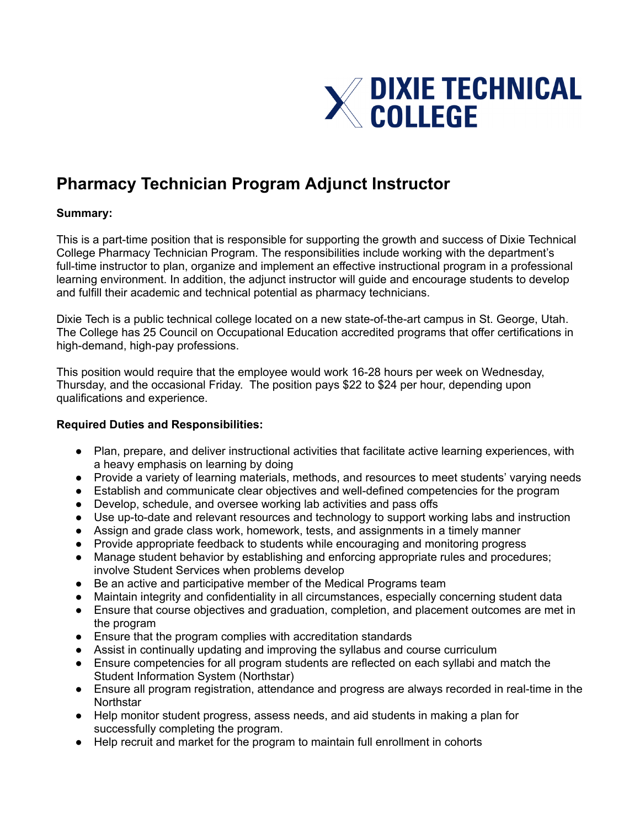

## **Pharmacy Technician Program Adjunct Instructor**

## **Summary:**

This is a part-time position that is responsible for supporting the growth and success of Dixie Technical College Pharmacy Technician Program. The responsibilities include working with the department's full-time instructor to plan, organize and implement an effective instructional program in a professional learning environment. In addition, the adjunct instructor will guide and encourage students to develop and fulfill their academic and technical potential as pharmacy technicians.

Dixie Tech is a public technical college located on a new state-of-the-art campus in St. George, Utah. The College has 25 Council on Occupational Education accredited programs that offer certifications in high-demand, high-pay professions.

This position would require that the employee would work 16-28 hours per week on Wednesday, Thursday, and the occasional Friday. The position pays \$22 to \$24 per hour, depending upon qualifications and experience.

## **Required Duties and Responsibilities:**

- Plan, prepare, and deliver instructional activities that facilitate active learning experiences, with a heavy emphasis on learning by doing
- Provide a variety of learning materials, methods, and resources to meet students' varying needs
- Establish and communicate clear objectives and well-defined competencies for the program
- Develop, schedule, and oversee working lab activities and pass offs
- Use up-to-date and relevant resources and technology to support working labs and instruction
- Assign and grade class work, homework, tests, and assignments in a timely manner
- Provide appropriate feedback to students while encouraging and monitoring progress
- Manage student behavior by establishing and enforcing appropriate rules and procedures; involve Student Services when problems develop
- Be an active and participative member of the Medical Programs team
- Maintain integrity and confidentiality in all circumstances, especially concerning student data
- Ensure that course objectives and graduation, completion, and placement outcomes are met in the program
- Ensure that the program complies with accreditation standards
- Assist in continually updating and improving the syllabus and course curriculum
- Ensure competencies for all program students are reflected on each syllabi and match the Student Information System (Northstar)
- Ensure all program registration, attendance and progress are always recorded in real-time in the **Northstar**
- Help monitor student progress, assess needs, and aid students in making a plan for successfully completing the program.
- Help recruit and market for the program to maintain full enrollment in cohorts